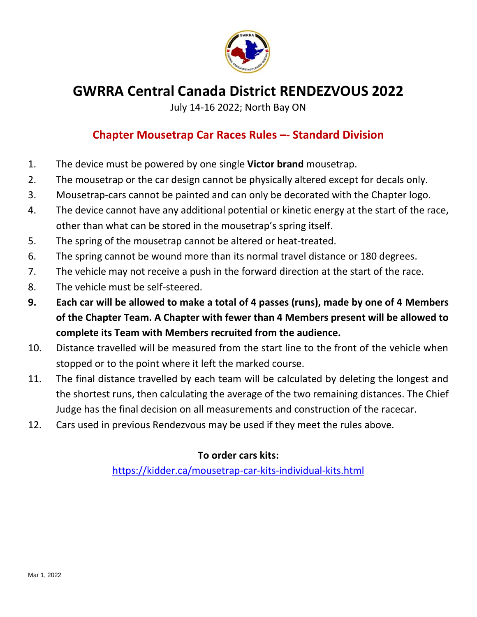

# **GWRRA Central Canada District RENDEZVOUS 2022**

July 14-16 2022; North Bay ON

## **Chapter Mousetrap Car Races Rules –- Standard Division**

- 1. The device must be powered by one single **Victor brand** mousetrap.
- 2. The mousetrap or the car design cannot be physically altered except for decals only.
- 3. Mousetrap-cars cannot be painted and can only be decorated with the Chapter logo.
- 4. The device cannot have any additional potential or kinetic energy at the start of the race, other than what can be stored in the mousetrap's spring itself.
- 5. The spring of the mousetrap cannot be altered or heat-treated.
- 6. The spring cannot be wound more than its normal travel distance or 180 degrees.
- 7. The vehicle may not receive a push in the forward direction at the start of the race.
- 8. The vehicle must be self-steered.
- **9. Each car will be allowed to make a total of 4 passes (runs), made by one of 4 Members of the Chapter Team. A Chapter with fewer than 4 Members present will be allowed to complete its Team with Members recruited from the audience.**
- 10. Distance travelled will be measured from the start line to the front of the vehicle when stopped or to the point where it left the marked course.
- 11. The final distance travelled by each team will be calculated by deleting the longest and the shortest runs, then calculating the average of the two remaining distances. The Chief Judge has the final decision on all measurements and construction of the racecar.
- 12. Cars used in previous Rendezvous may be used if they meet the rules above.

## **To order cars kits:**

<https://kidder.ca/mousetrap-car-kits-individual-kits.html>